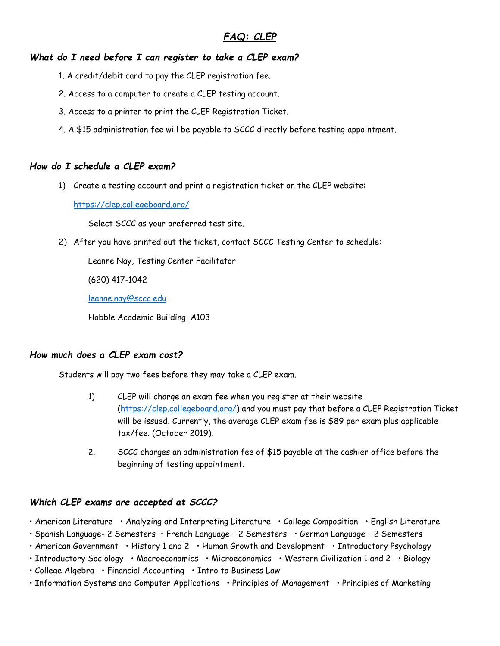# *FAQ: CLEP*

## *What do I need before I can register to take a CLEP exam?*

- 1. A credit/debit card to pay the CLEP registration fee.
- 2. Access to a computer to create a CLEP testing account.
- 3. Access to a printer to print the CLEP Registration Ticket.
- 4. A \$15 administration fee will be payable to SCCC directly before testing appointment.

## *How do I schedule a CLEP exam?*

1) Create a testing account and print a registration ticket on the CLEP website:

<https://clep.collegeboard.org/>

Select SCCC as your preferred test site.

2) After you have printed out the ticket, contact SCCC Testing Center to schedule:

Leanne Nay, Testing Center Facilitator

(620) 417-1042

[leanne.nay@sccc.edu](mailto:leanne.nay@sccc.edu)

Hobble Academic Building, A103

# *How much does a CLEP exam cost?*

Students will pay two fees before they may take a CLEP exam.

- 1) CLEP will charge an exam fee when you register at their website [\(https://clep.collegeboard.org/\)](https://clep.collegeboard.org/) and you must pay that before a CLEP Registration Ticket will be issued. Currently, the average CLEP exam fee is \$89 per exam plus applicable tax/fee. (October 2019).
- 2. SCCC charges an administration fee of \$15 payable at the cashier office before the beginning of testing appointment.

## *Which CLEP exams are accepted at SCCC?*

• American Literature • Analyzing and Interpreting Literature • College Composition • English Literature

- Spanish Language- 2 Semesters French Language 2 Semesters German Language 2 Semesters
- American Government History 1 and 2 Human Growth and Development Introductory Psychology
- Introductory Sociology Macroeconomics Microeconomics Western Civilization 1 and 2 Biology
- College Algebra Financial Accounting Intro to Business Law
- Information Systems and Computer Applications Principles of Management Principles of Marketing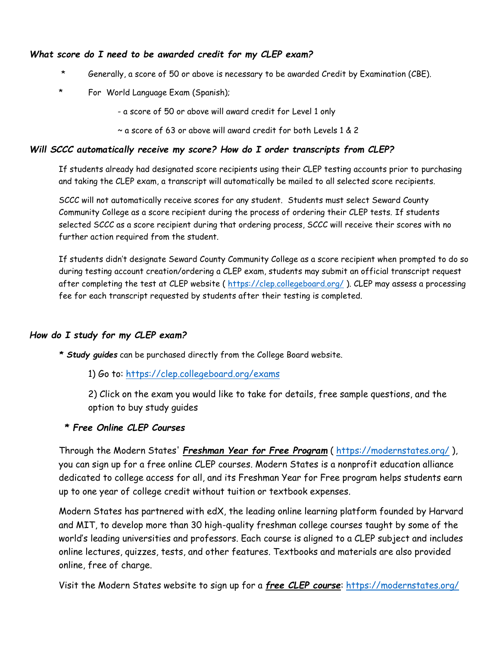## *What score do I need to be awarded credit for my CLEP exam?*

- Generally, a score of 50 or above is necessary to be awarded Credit by Examination (CBE).
- For World Language Exam (Spanish);
	- a score of 50 or above will award credit for Level 1 only
	- ~ a score of 63 or above will award credit for both Levels 1 & 2

## *Will SCCC automatically receive my score? How do I order transcripts from CLEP?*

If students already had designated score recipients using their CLEP testing accounts prior to purchasing and taking the CLEP exam, a transcript will automatically be mailed to all selected score recipients.

SCCC will not automatically receive scores for any student. Students must select Seward County Community College as a score recipient during the process of ordering their CLEP tests. If students selected SCCC as a score recipient during that ordering process, SCCC will receive their scores with no further action required from the student.

If students didn't designate Seward County Community College as a score recipient when prompted to do so during testing account creation/ordering a CLEP exam, students may submit an official transcript request after completing the test at CLEP website (<https://clep.collegeboard.org/> ). CLEP may assess a processing fee for each transcript requested by students after their testing is completed.

# *How do I study for my CLEP exam?*

*\* Study guides* can be purchased directly from the College Board website.

1) Go to:<https://clep.collegeboard.org/exams>

2) Click on the exam you would like to take for details, free sample questions, and the option to buy study guides

# *\* Free Online CLEP Courses*

Through the Modern States' *Freshman Year for Free Program* (<https://modernstates.org/> ), you can sign up for a free online CLEP courses. Modern States is a nonprofit education alliance dedicated to college access for all, and its Freshman Year for Free program helps students earn up to one year of college credit without tuition or textbook expenses.

Modern States has partnered with edX, the leading online learning platform founded by Harvard and MIT, to develop more than 30 high-quality freshman college courses taught by some of the world's leading universities and professors. Each course is aligned to a CLEP subject and includes online lectures, quizzes, tests, and other features. Textbooks and materials are also provided online, free of charge.

Visit the Modern States website to sign up for a *free CLEP course*:<https://modernstates.org/>